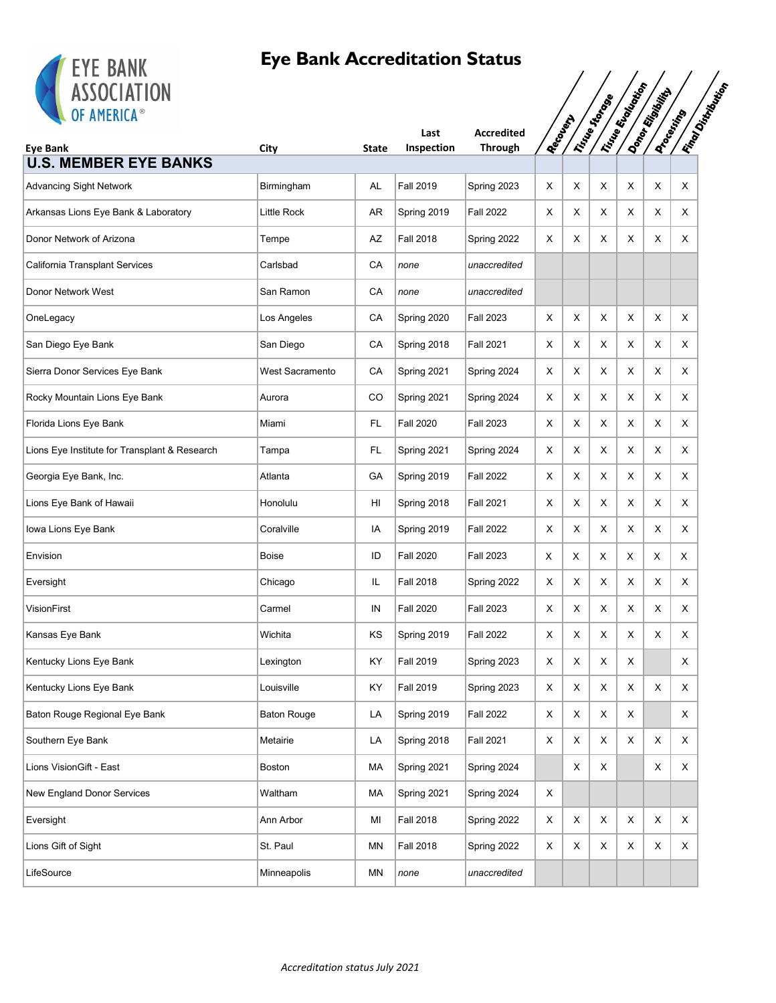

| <b>EIE DANN</b><br><b>ASSOCIATION</b>         |                    |              |                    |                                     |          |             |                |                      |                |                                              |
|-----------------------------------------------|--------------------|--------------|--------------------|-------------------------------------|----------|-------------|----------------|----------------------|----------------|----------------------------------------------|
| OF AMERICA®<br><b>Eye Bank</b>                | City               | <b>State</b> | Last<br>Inspection | <b>Accredited</b><br><b>Through</b> | RecoverA |             | Trice of topos | I True Economication | Donor Rigorium | <b>IFINDO DISTINGUIST</b><br><b>Docentry</b> |
| <b>U.S. MEMBER EYE BANKS</b>                  |                    |              |                    |                                     |          |             |                |                      |                |                                              |
| <b>Advancing Sight Network</b>                | Birmingham         | AL           | <b>Fall 2019</b>   | Spring 2023                         | X        | X           | Χ              | X                    | X              | X                                            |
| Arkansas Lions Eye Bank & Laboratory          | Little Rock        | AR           | Spring 2019        | Fall 2022                           | Х        | X           | Χ              | X                    | X              | X                                            |
| Donor Network of Arizona                      | Tempe              | AZ           | <b>Fall 2018</b>   | Spring 2022                         | х        | X           | Χ              | X                    | X              | X                                            |
| California Transplant Services                | Carlsbad           | CA           | none               | unaccredited                        |          |             |                |                      |                |                                              |
| Donor Network West                            | San Ramon          | CA           | none               | unaccredited                        |          |             |                |                      |                |                                              |
| OneLegacy                                     | Los Angeles        | CA           | Spring 2020        | Fall 2023                           | Х        | X           | Χ              | X                    | X              | X                                            |
| San Diego Eye Bank                            | San Diego          | CA           | Spring 2018        | <b>Fall 2021</b>                    | х        | X           | Х              | X                    | X              | X                                            |
| Sierra Donor Services Eye Bank                | West Sacramento    | CA           | Spring 2021        | Spring 2024                         | х        | X           | X              | X                    | Χ              | X                                            |
| Rocky Mountain Lions Eye Bank                 | Aurora             | CO           | Spring 2021        | Spring 2024                         | х        | X           | X              | X                    | Χ              | X                                            |
| Florida Lions Eye Bank                        | Miami              | FL           | <b>Fall 2020</b>   | <b>Fall 2023</b>                    | Х        | X           | X              | X                    | Χ              | X                                            |
| Lions Eye Institute for Transplant & Research | Tampa              | FL.          | Spring 2021        | Spring 2024                         | х        | X           | X              | X                    | X              | X                                            |
| Georgia Eye Bank, Inc.                        | Atlanta            | GA           | Spring 2019        | <b>Fall 2022</b>                    | Х        | X           | Χ              | X                    | Χ              | X                                            |
| Lions Eye Bank of Hawaii                      | Honolulu           | HI           | Spring 2018        | <b>Fall 2021</b>                    | х        | X           | X              | X                    | X              | X                                            |
| Iowa Lions Eye Bank                           | Coralville         | IA           | Spring 2019        | <b>Fall 2022</b>                    | Х        | X           | Χ              | X                    | Χ              | X                                            |
| Envision                                      | Boise              | ID           | <b>Fall 2020</b>   | Fall 2023                           | Х        | х           | X              | х                    | X              | Χ                                            |
| Eversight                                     | Chicago            | IL           | <b>Fall 2018</b>   | Spring 2022                         | X        | X           | Χ              | X                    | X              | X                                            |
| VisionFirst                                   | Carmel             | IN           | <b>Fall 2020</b>   | Fall 2023                           | Х        | X           | X              | X                    | X              | X                                            |
| Kansas Eye Bank                               | Wichita            | KS           | Spring 2019        | <b>Fall 2022</b>                    | х        | Х           | Χ              | Χ                    | X              | Χ                                            |
| Kentucky Lions Eye Bank                       | Lexington          | KY           | <b>Fall 2019</b>   | Spring 2023                         | X        | $\mathsf X$ | X              | X                    |                | X                                            |
| Kentucky Lions Eye Bank                       | Louisville         | KY           | <b>Fall 2019</b>   | Spring 2023                         | X        | X           | X              | X                    | X              | X                                            |
| Baton Rouge Regional Eye Bank                 | <b>Baton Rouge</b> | LA           | Spring 2019        | <b>Fall 2022</b>                    | Х        | X           | X              | X                    |                | X                                            |
| Southern Eye Bank                             | Metairie           | LA           | Spring 2018        | <b>Fall 2021</b>                    | X        | X           | X              | X                    | X              | X                                            |
| Lions VisionGift - East                       | Boston             | MA           | Spring 2021        | Spring 2024                         |          | X           | X              |                      | X              | X                                            |
| New England Donor Services                    | Waltham            | MA           | Spring 2021        | Spring 2024                         | X        |             |                |                      |                |                                              |
| Eversight                                     | Ann Arbor          | ΜI           | <b>Fall 2018</b>   | Spring 2022                         | X        | X           | X              | X                    | X              | X                                            |
| Lions Gift of Sight                           | St. Paul           | MN           | <b>Fall 2018</b>   | Spring 2022                         | X        | X           | X              | X                    | X              | X                                            |
| LifeSource                                    | Minneapolis        | MN           | none               | unaccredited                        |          |             |                |                      |                |                                              |
|                                               |                    |              |                    |                                     |          |             |                |                      |                |                                              |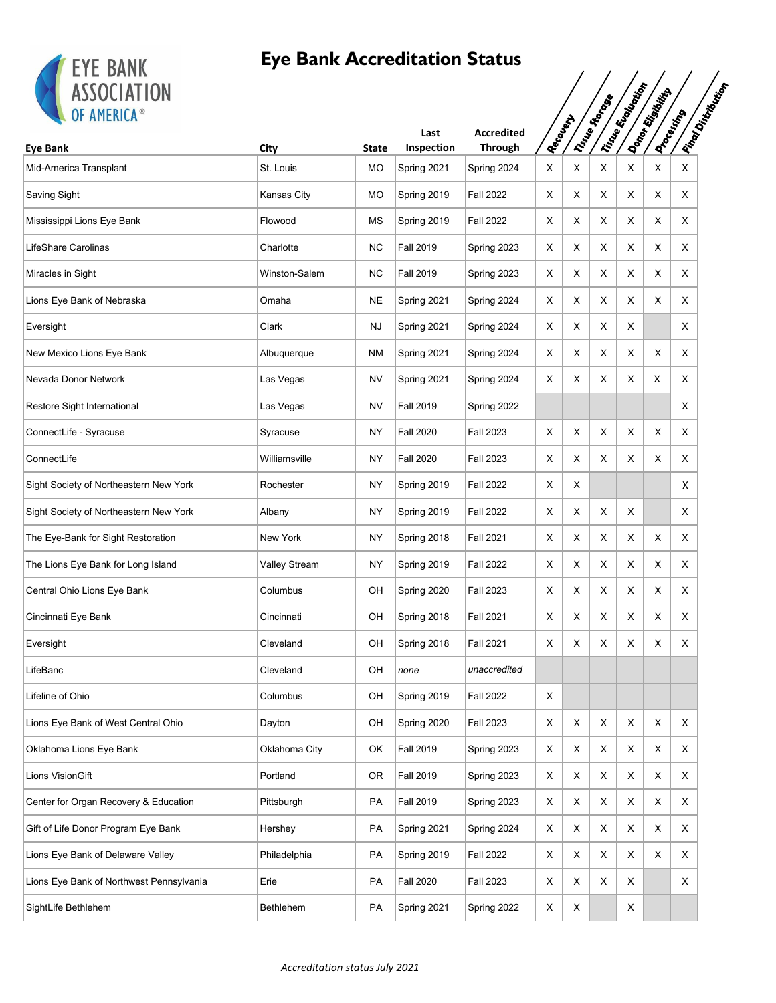

| Tring England Original<br><b>Iman Distriction</b><br>Donor Rigorito<br>Tinco Stone<br>OF AMERICA®<br><b>Processing</b><br>Recountry<br><b>Accredited</b><br>Last<br>Inspection<br><b>Through</b><br><b>Eye Bank</b><br>City<br><b>State</b><br>X<br>St. Louis<br>MO<br>Spring 2024<br>X<br>X<br>X<br>X<br>X<br>Spring 2021<br>X<br>MO<br>X<br>X<br>Χ<br>Kansas City<br>Spring 2019<br><b>Fall 2022</b><br>Х<br>Χ<br><b>Fall 2022</b><br>X<br>X<br>X<br>Flowood<br>МS<br>Spring 2019<br>Х<br>Χ<br>X<br><b>NC</b><br>X<br>X<br>X<br><b>Fall 2019</b><br>X<br>X<br>X<br>Charlotte<br>Spring 2023<br>Winston-Salem<br><b>NC</b><br><b>Fall 2019</b><br>Spring 2023<br>X<br>X<br>X<br>X<br>Х<br>X<br>X<br><b>NE</b><br>X<br>Χ<br>X<br>X<br>Omaha<br>Spring 2021<br>Spring 2024<br>Х<br>Clark<br><b>NJ</b><br>Spring 2021<br>X<br>X<br>X<br>X<br>х<br>Spring 2024<br>X<br>X<br>X<br><b>NM</b><br>Spring 2021<br>Spring 2024<br>X<br>X<br>X<br>Albuquerque<br><b>NV</b><br>X<br>X<br>X<br>X<br>Las Vegas<br>Spring 2021<br>Spring 2024<br>Х<br>X<br>NV<br><b>Fall 2019</b><br>X<br>Las Vegas<br>Spring 2022<br>X<br><b>Fall 2020</b><br>Fall 2023<br>X<br>X<br>Χ<br>X<br>X<br>Syracuse<br>NY<br>X<br>X<br>X<br>X<br>Williamsville<br>NY<br><b>Fall 2020</b><br><b>Fall 2023</b><br>X<br>X<br>NY.<br>X<br>Rochester<br>Spring 2019<br>Fall 2022<br>Х<br>X<br>X<br>X<br>NY.<br><b>Fall 2022</b><br>X<br>X<br>X<br>Spring 2019<br>Albany<br>New York<br>NY.<br><b>Fall 2021</b><br>X<br>X<br>X<br>X<br>X<br>X<br>Spring 2018<br>Valley Stream<br>NY<br>Spring 2019<br><b>Fall 2022</b><br>X<br>X<br>X<br>X<br>X<br>X<br>OH<br>Spring 2020<br>X<br>X<br>X<br>X<br>Columbus<br>Fall 2023<br>Х<br>Χ<br>OH<br>Fall 2021<br>Х<br>X<br>Х<br>X<br>X<br>X<br>Cincinnati<br>Spring 2018<br>Spring 2018<br>X<br>X<br>Cleveland<br>OH<br><b>Fall 2021</b><br>X<br>X<br>X<br>Х<br>Cleveland<br>OH<br>none<br>unaccredited<br>Columbus<br>OH<br>Spring 2019<br><b>Fall 2022</b><br>X<br>X<br>OH<br>Spring 2020<br><b>Fall 2023</b><br>X<br>X<br>X<br>X<br>Dayton<br>Х<br>X<br>Oklahoma City<br>OK<br><b>Fall 2019</b><br>X<br>X<br>X<br>Spring 2023<br>Х<br>Χ<br>Portland<br>0R<br><b>Fall 2019</b><br>X<br>X<br>X<br>X<br>X<br>Spring 2023<br>X<br><b>Fall 2019</b><br>X<br>X<br>X<br>X<br>PA<br>Spring 2023<br>X<br>X<br>Pittsburgh<br>X<br>PA<br>Spring 2021<br>X<br>X<br>X<br>X<br>Hershey<br>Spring 2024<br>Х<br>X<br>Philadelphia<br>PA<br>Spring 2019<br><b>Fall 2022</b><br>X<br>X<br>X<br>X<br>Χ<br><b>Fall 2020</b><br>PA<br><b>Fall 2023</b><br>X<br>X<br>X<br>X<br>Erie<br>Х<br>X<br>Bethlehem<br>PA<br>Spring 2021<br>Spring 2022<br>X<br>X | <b>EIE BANK</b><br><b>ASSOCIATION</b>    |  |  |  |  |  |
|-----------------------------------------------------------------------------------------------------------------------------------------------------------------------------------------------------------------------------------------------------------------------------------------------------------------------------------------------------------------------------------------------------------------------------------------------------------------------------------------------------------------------------------------------------------------------------------------------------------------------------------------------------------------------------------------------------------------------------------------------------------------------------------------------------------------------------------------------------------------------------------------------------------------------------------------------------------------------------------------------------------------------------------------------------------------------------------------------------------------------------------------------------------------------------------------------------------------------------------------------------------------------------------------------------------------------------------------------------------------------------------------------------------------------------------------------------------------------------------------------------------------------------------------------------------------------------------------------------------------------------------------------------------------------------------------------------------------------------------------------------------------------------------------------------------------------------------------------------------------------------------------------------------------------------------------------------------------------------------------------------------------------------------------------------------------------------------------------------------------------------------------------------------------------------------------------------------------------------------------------------------------------------------------------------------------------------------------------------------------------------------------------------------------------------------------------------------------------------------------------------------------------------------------------------------------------------------------------------------------------------------|------------------------------------------|--|--|--|--|--|
|                                                                                                                                                                                                                                                                                                                                                                                                                                                                                                                                                                                                                                                                                                                                                                                                                                                                                                                                                                                                                                                                                                                                                                                                                                                                                                                                                                                                                                                                                                                                                                                                                                                                                                                                                                                                                                                                                                                                                                                                                                                                                                                                                                                                                                                                                                                                                                                                                                                                                                                                                                                                                                   |                                          |  |  |  |  |  |
|                                                                                                                                                                                                                                                                                                                                                                                                                                                                                                                                                                                                                                                                                                                                                                                                                                                                                                                                                                                                                                                                                                                                                                                                                                                                                                                                                                                                                                                                                                                                                                                                                                                                                                                                                                                                                                                                                                                                                                                                                                                                                                                                                                                                                                                                                                                                                                                                                                                                                                                                                                                                                                   | Mid-America Transplant                   |  |  |  |  |  |
|                                                                                                                                                                                                                                                                                                                                                                                                                                                                                                                                                                                                                                                                                                                                                                                                                                                                                                                                                                                                                                                                                                                                                                                                                                                                                                                                                                                                                                                                                                                                                                                                                                                                                                                                                                                                                                                                                                                                                                                                                                                                                                                                                                                                                                                                                                                                                                                                                                                                                                                                                                                                                                   | Saving Sight                             |  |  |  |  |  |
|                                                                                                                                                                                                                                                                                                                                                                                                                                                                                                                                                                                                                                                                                                                                                                                                                                                                                                                                                                                                                                                                                                                                                                                                                                                                                                                                                                                                                                                                                                                                                                                                                                                                                                                                                                                                                                                                                                                                                                                                                                                                                                                                                                                                                                                                                                                                                                                                                                                                                                                                                                                                                                   | Mississippi Lions Eye Bank               |  |  |  |  |  |
|                                                                                                                                                                                                                                                                                                                                                                                                                                                                                                                                                                                                                                                                                                                                                                                                                                                                                                                                                                                                                                                                                                                                                                                                                                                                                                                                                                                                                                                                                                                                                                                                                                                                                                                                                                                                                                                                                                                                                                                                                                                                                                                                                                                                                                                                                                                                                                                                                                                                                                                                                                                                                                   | LifeShare Carolinas                      |  |  |  |  |  |
|                                                                                                                                                                                                                                                                                                                                                                                                                                                                                                                                                                                                                                                                                                                                                                                                                                                                                                                                                                                                                                                                                                                                                                                                                                                                                                                                                                                                                                                                                                                                                                                                                                                                                                                                                                                                                                                                                                                                                                                                                                                                                                                                                                                                                                                                                                                                                                                                                                                                                                                                                                                                                                   | Miracles in Sight                        |  |  |  |  |  |
|                                                                                                                                                                                                                                                                                                                                                                                                                                                                                                                                                                                                                                                                                                                                                                                                                                                                                                                                                                                                                                                                                                                                                                                                                                                                                                                                                                                                                                                                                                                                                                                                                                                                                                                                                                                                                                                                                                                                                                                                                                                                                                                                                                                                                                                                                                                                                                                                                                                                                                                                                                                                                                   | Lions Eye Bank of Nebraska               |  |  |  |  |  |
|                                                                                                                                                                                                                                                                                                                                                                                                                                                                                                                                                                                                                                                                                                                                                                                                                                                                                                                                                                                                                                                                                                                                                                                                                                                                                                                                                                                                                                                                                                                                                                                                                                                                                                                                                                                                                                                                                                                                                                                                                                                                                                                                                                                                                                                                                                                                                                                                                                                                                                                                                                                                                                   | Eversight                                |  |  |  |  |  |
|                                                                                                                                                                                                                                                                                                                                                                                                                                                                                                                                                                                                                                                                                                                                                                                                                                                                                                                                                                                                                                                                                                                                                                                                                                                                                                                                                                                                                                                                                                                                                                                                                                                                                                                                                                                                                                                                                                                                                                                                                                                                                                                                                                                                                                                                                                                                                                                                                                                                                                                                                                                                                                   | New Mexico Lions Eye Bank                |  |  |  |  |  |
|                                                                                                                                                                                                                                                                                                                                                                                                                                                                                                                                                                                                                                                                                                                                                                                                                                                                                                                                                                                                                                                                                                                                                                                                                                                                                                                                                                                                                                                                                                                                                                                                                                                                                                                                                                                                                                                                                                                                                                                                                                                                                                                                                                                                                                                                                                                                                                                                                                                                                                                                                                                                                                   | Nevada Donor Network                     |  |  |  |  |  |
|                                                                                                                                                                                                                                                                                                                                                                                                                                                                                                                                                                                                                                                                                                                                                                                                                                                                                                                                                                                                                                                                                                                                                                                                                                                                                                                                                                                                                                                                                                                                                                                                                                                                                                                                                                                                                                                                                                                                                                                                                                                                                                                                                                                                                                                                                                                                                                                                                                                                                                                                                                                                                                   | Restore Sight International              |  |  |  |  |  |
|                                                                                                                                                                                                                                                                                                                                                                                                                                                                                                                                                                                                                                                                                                                                                                                                                                                                                                                                                                                                                                                                                                                                                                                                                                                                                                                                                                                                                                                                                                                                                                                                                                                                                                                                                                                                                                                                                                                                                                                                                                                                                                                                                                                                                                                                                                                                                                                                                                                                                                                                                                                                                                   | ConnectLife - Syracuse                   |  |  |  |  |  |
|                                                                                                                                                                                                                                                                                                                                                                                                                                                                                                                                                                                                                                                                                                                                                                                                                                                                                                                                                                                                                                                                                                                                                                                                                                                                                                                                                                                                                                                                                                                                                                                                                                                                                                                                                                                                                                                                                                                                                                                                                                                                                                                                                                                                                                                                                                                                                                                                                                                                                                                                                                                                                                   | ConnectLife                              |  |  |  |  |  |
|                                                                                                                                                                                                                                                                                                                                                                                                                                                                                                                                                                                                                                                                                                                                                                                                                                                                                                                                                                                                                                                                                                                                                                                                                                                                                                                                                                                                                                                                                                                                                                                                                                                                                                                                                                                                                                                                                                                                                                                                                                                                                                                                                                                                                                                                                                                                                                                                                                                                                                                                                                                                                                   | Sight Society of Northeastern New York   |  |  |  |  |  |
|                                                                                                                                                                                                                                                                                                                                                                                                                                                                                                                                                                                                                                                                                                                                                                                                                                                                                                                                                                                                                                                                                                                                                                                                                                                                                                                                                                                                                                                                                                                                                                                                                                                                                                                                                                                                                                                                                                                                                                                                                                                                                                                                                                                                                                                                                                                                                                                                                                                                                                                                                                                                                                   | Sight Society of Northeastern New York   |  |  |  |  |  |
|                                                                                                                                                                                                                                                                                                                                                                                                                                                                                                                                                                                                                                                                                                                                                                                                                                                                                                                                                                                                                                                                                                                                                                                                                                                                                                                                                                                                                                                                                                                                                                                                                                                                                                                                                                                                                                                                                                                                                                                                                                                                                                                                                                                                                                                                                                                                                                                                                                                                                                                                                                                                                                   | The Eye-Bank for Sight Restoration       |  |  |  |  |  |
|                                                                                                                                                                                                                                                                                                                                                                                                                                                                                                                                                                                                                                                                                                                                                                                                                                                                                                                                                                                                                                                                                                                                                                                                                                                                                                                                                                                                                                                                                                                                                                                                                                                                                                                                                                                                                                                                                                                                                                                                                                                                                                                                                                                                                                                                                                                                                                                                                                                                                                                                                                                                                                   | The Lions Eye Bank for Long Island       |  |  |  |  |  |
|                                                                                                                                                                                                                                                                                                                                                                                                                                                                                                                                                                                                                                                                                                                                                                                                                                                                                                                                                                                                                                                                                                                                                                                                                                                                                                                                                                                                                                                                                                                                                                                                                                                                                                                                                                                                                                                                                                                                                                                                                                                                                                                                                                                                                                                                                                                                                                                                                                                                                                                                                                                                                                   | Central Ohio Lions Eye Bank              |  |  |  |  |  |
|                                                                                                                                                                                                                                                                                                                                                                                                                                                                                                                                                                                                                                                                                                                                                                                                                                                                                                                                                                                                                                                                                                                                                                                                                                                                                                                                                                                                                                                                                                                                                                                                                                                                                                                                                                                                                                                                                                                                                                                                                                                                                                                                                                                                                                                                                                                                                                                                                                                                                                                                                                                                                                   | Cincinnati Eye Bank                      |  |  |  |  |  |
|                                                                                                                                                                                                                                                                                                                                                                                                                                                                                                                                                                                                                                                                                                                                                                                                                                                                                                                                                                                                                                                                                                                                                                                                                                                                                                                                                                                                                                                                                                                                                                                                                                                                                                                                                                                                                                                                                                                                                                                                                                                                                                                                                                                                                                                                                                                                                                                                                                                                                                                                                                                                                                   | Eversight                                |  |  |  |  |  |
|                                                                                                                                                                                                                                                                                                                                                                                                                                                                                                                                                                                                                                                                                                                                                                                                                                                                                                                                                                                                                                                                                                                                                                                                                                                                                                                                                                                                                                                                                                                                                                                                                                                                                                                                                                                                                                                                                                                                                                                                                                                                                                                                                                                                                                                                                                                                                                                                                                                                                                                                                                                                                                   | LifeBanc                                 |  |  |  |  |  |
|                                                                                                                                                                                                                                                                                                                                                                                                                                                                                                                                                                                                                                                                                                                                                                                                                                                                                                                                                                                                                                                                                                                                                                                                                                                                                                                                                                                                                                                                                                                                                                                                                                                                                                                                                                                                                                                                                                                                                                                                                                                                                                                                                                                                                                                                                                                                                                                                                                                                                                                                                                                                                                   | Lifeline of Ohio                         |  |  |  |  |  |
|                                                                                                                                                                                                                                                                                                                                                                                                                                                                                                                                                                                                                                                                                                                                                                                                                                                                                                                                                                                                                                                                                                                                                                                                                                                                                                                                                                                                                                                                                                                                                                                                                                                                                                                                                                                                                                                                                                                                                                                                                                                                                                                                                                                                                                                                                                                                                                                                                                                                                                                                                                                                                                   | Lions Eye Bank of West Central Ohio      |  |  |  |  |  |
|                                                                                                                                                                                                                                                                                                                                                                                                                                                                                                                                                                                                                                                                                                                                                                                                                                                                                                                                                                                                                                                                                                                                                                                                                                                                                                                                                                                                                                                                                                                                                                                                                                                                                                                                                                                                                                                                                                                                                                                                                                                                                                                                                                                                                                                                                                                                                                                                                                                                                                                                                                                                                                   | Oklahoma Lions Eye Bank                  |  |  |  |  |  |
|                                                                                                                                                                                                                                                                                                                                                                                                                                                                                                                                                                                                                                                                                                                                                                                                                                                                                                                                                                                                                                                                                                                                                                                                                                                                                                                                                                                                                                                                                                                                                                                                                                                                                                                                                                                                                                                                                                                                                                                                                                                                                                                                                                                                                                                                                                                                                                                                                                                                                                                                                                                                                                   | Lions VisionGift                         |  |  |  |  |  |
|                                                                                                                                                                                                                                                                                                                                                                                                                                                                                                                                                                                                                                                                                                                                                                                                                                                                                                                                                                                                                                                                                                                                                                                                                                                                                                                                                                                                                                                                                                                                                                                                                                                                                                                                                                                                                                                                                                                                                                                                                                                                                                                                                                                                                                                                                                                                                                                                                                                                                                                                                                                                                                   | Center for Organ Recovery & Education    |  |  |  |  |  |
|                                                                                                                                                                                                                                                                                                                                                                                                                                                                                                                                                                                                                                                                                                                                                                                                                                                                                                                                                                                                                                                                                                                                                                                                                                                                                                                                                                                                                                                                                                                                                                                                                                                                                                                                                                                                                                                                                                                                                                                                                                                                                                                                                                                                                                                                                                                                                                                                                                                                                                                                                                                                                                   | Gift of Life Donor Program Eye Bank      |  |  |  |  |  |
|                                                                                                                                                                                                                                                                                                                                                                                                                                                                                                                                                                                                                                                                                                                                                                                                                                                                                                                                                                                                                                                                                                                                                                                                                                                                                                                                                                                                                                                                                                                                                                                                                                                                                                                                                                                                                                                                                                                                                                                                                                                                                                                                                                                                                                                                                                                                                                                                                                                                                                                                                                                                                                   | Lions Eye Bank of Delaware Valley        |  |  |  |  |  |
|                                                                                                                                                                                                                                                                                                                                                                                                                                                                                                                                                                                                                                                                                                                                                                                                                                                                                                                                                                                                                                                                                                                                                                                                                                                                                                                                                                                                                                                                                                                                                                                                                                                                                                                                                                                                                                                                                                                                                                                                                                                                                                                                                                                                                                                                                                                                                                                                                                                                                                                                                                                                                                   | Lions Eye Bank of Northwest Pennsylvania |  |  |  |  |  |
|                                                                                                                                                                                                                                                                                                                                                                                                                                                                                                                                                                                                                                                                                                                                                                                                                                                                                                                                                                                                                                                                                                                                                                                                                                                                                                                                                                                                                                                                                                                                                                                                                                                                                                                                                                                                                                                                                                                                                                                                                                                                                                                                                                                                                                                                                                                                                                                                                                                                                                                                                                                                                                   | SightLife Bethlehem                      |  |  |  |  |  |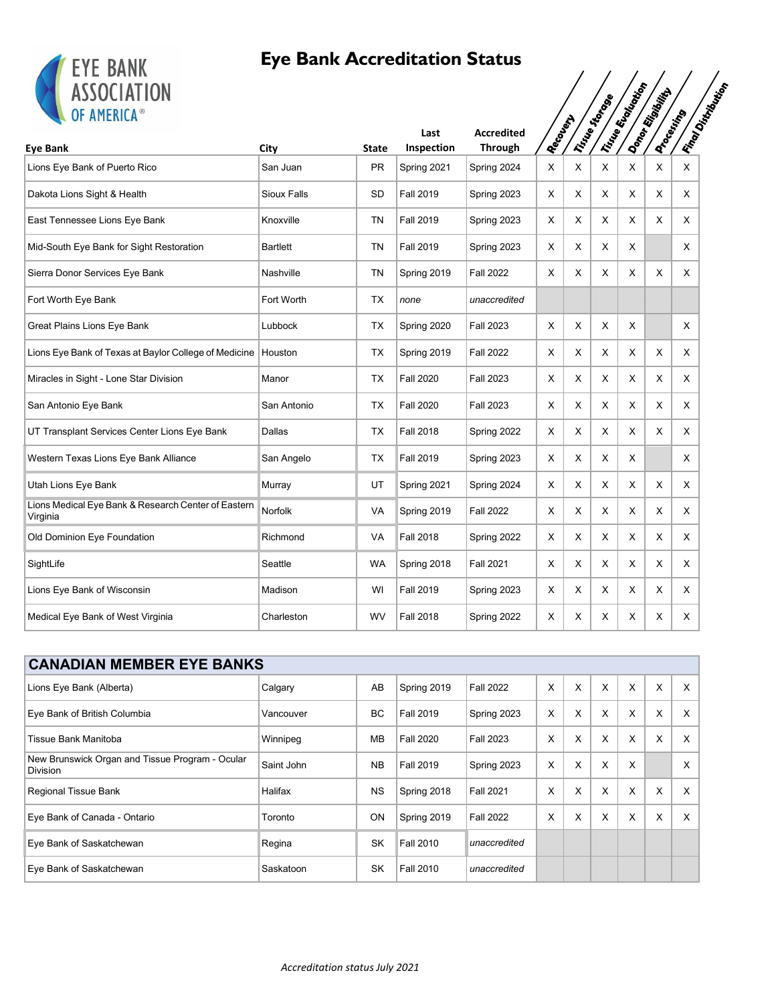

| <b>ETE BANK</b><br><b>ASSOCIATION</b><br>OF AMERICA®            |                    |              |                  |                   |            |   | Irinoste de Cope | Tine Riversition | Donor Rigorito    | <b>IFrantDistriction</b> |
|-----------------------------------------------------------------|--------------------|--------------|------------------|-------------------|------------|---|------------------|------------------|-------------------|--------------------------|
|                                                                 |                    |              | Last             | <b>Accredited</b> | Recover of |   |                  |                  | <b>Processing</b> |                          |
| <b>Eye Bank</b>                                                 | City               | <b>State</b> | Inspection       | Through           |            |   |                  |                  |                   |                          |
| Lions Eye Bank of Puerto Rico                                   | San Juan           | <b>PR</b>    | Spring 2021      | Spring 2024       | X          | X | X                | Χ                | X                 | X                        |
| Dakota Lions Sight & Health                                     | <b>Sioux Falls</b> | SD           | <b>Fall 2019</b> | Spring 2023       | Χ          | Χ | Х                | Χ                | X                 | X                        |
| East Tennessee Lions Eye Bank                                   | Knoxville          | <b>TN</b>    | <b>Fall 2019</b> | Spring 2023       | X          | X | X                | X                | X                 | X                        |
| Mid-South Eye Bank for Sight Restoration                        | <b>Bartlett</b>    | <b>TN</b>    | <b>Fall 2019</b> | Spring 2023       | X          | X | X                | X                |                   | $\times$                 |
| Sierra Donor Services Eye Bank                                  | Nashville          | <b>TN</b>    | Spring 2019      | <b>Fall 2022</b>  | X          | X | X                | Χ                | X                 | X                        |
| Fort Worth Eye Bank                                             | Fort Worth         | <b>TX</b>    | none             | unaccredited      |            |   |                  |                  |                   |                          |
| Great Plains Lions Eye Bank                                     | Lubbock            | TX           | Spring 2020      | <b>Fall 2023</b>  | Χ          | X | X                | X                |                   | Χ                        |
| Lions Eye Bank of Texas at Baylor College of Medicine           | Houston            | <b>TX</b>    | Spring 2019      | <b>Fall 2022</b>  | X          | X | X                | $\sf X$          | X.                | X                        |
| Miracles in Sight - Lone Star Division                          | Manor              | <b>TX</b>    | <b>Fall 2020</b> | <b>Fall 2023</b>  | X          | X | X                | X                | X                 | X                        |
| San Antonio Eye Bank                                            | San Antonio        | <b>TX</b>    | <b>Fall 2020</b> | <b>Fall 2023</b>  | Χ          | X | Χ                | X                | X                 | $\mathsf{X}$             |
| UT Transplant Services Center Lions Eye Bank                    | Dallas             | <b>TX</b>    | <b>Fall 2018</b> | Spring 2022       | Χ          | X | Χ                | X                | X                 | X                        |
| Western Texas Lions Eye Bank Alliance                           | San Angelo         | TX           | <b>Fall 2019</b> | Spring 2023       | X          | X | X                | X                |                   | X                        |
| Utah Lions Eye Bank                                             | Murray             | UT           | Spring 2021      | Spring 2024       | X          | X | X                | X                | X                 | X                        |
| Lions Medical Eye Bank & Research Center of Eastern<br>Virginia | <b>Norfolk</b>     | <b>VA</b>    | Spring 2019      | <b>Fall 2022</b>  | Χ          | X | X                | X                | X                 | $\mathsf{X}$             |
| Old Dominion Eye Foundation                                     | Richmond           | <b>VA</b>    | <b>Fall 2018</b> | Spring 2022       | Χ          | X | X                | X                | X                 | X                        |
| SightLife                                                       | Seattle            | WA           | Spring 2018      | <b>Fall 2021</b>  | X          | X | X                | X                | X                 | X                        |
| Lions Eye Bank of Wisconsin                                     | Madison            | WI           | <b>Fall 2019</b> | Spring 2023       | Χ          | X | Χ                | Χ                | Χ                 | X                        |
| Medical Eye Bank of West Virginia                               | Charleston         | <b>WV</b>    | <b>Fall 2018</b> | Spring 2022       | Χ          | X | X                | X                | X                 | Χ                        |
|                                                                 |                    |              |                  |                   |            |   |                  |                  |                   |                          |

| <b>CANADIAN MEMBER EYE BANKS</b>                                   |            |           |                  |                  |   |   |   |   |   |   |  |  |
|--------------------------------------------------------------------|------------|-----------|------------------|------------------|---|---|---|---|---|---|--|--|
| Lions Eye Bank (Alberta)                                           | Calgary    | AB        | Spring 2019      | <b>Fall 2022</b> | X | X | X | X | X | X |  |  |
| Eye Bank of British Columbia                                       | Vancouver  | ВC        | <b>Fall 2019</b> | Spring 2023      | X | X | X | X | X | X |  |  |
| Tissue Bank Manitoba                                               | Winnipeg   | <b>MB</b> | <b>Fall 2020</b> | <b>Fall 2023</b> | X | X | X | X | X | X |  |  |
| New Brunswick Organ and Tissue Program - Ocular<br><b>Division</b> | Saint John | <b>NB</b> | <b>Fall 2019</b> | Spring 2023      | X | X | X | X |   | X |  |  |
| Regional Tissue Bank                                               | Halifax    | <b>NS</b> | Spring 2018      | <b>Fall 2021</b> | X | X | X | X | X | X |  |  |
| Eye Bank of Canada - Ontario                                       | Toronto    | ON        | Spring 2019      | <b>Fall 2022</b> | X | X | X | X | X | X |  |  |
| Eye Bank of Saskatchewan                                           | Regina     | SK        | <b>Fall 2010</b> | unaccredited     |   |   |   |   |   |   |  |  |
| Eye Bank of Saskatchewan                                           | Saskatoon  | SK        | <b>Fall 2010</b> | unaccredited     |   |   |   |   |   |   |  |  |